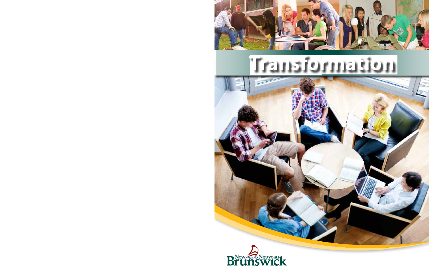

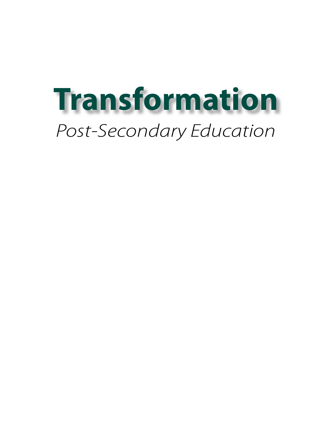# **Transformation** *Post-Secondary Education*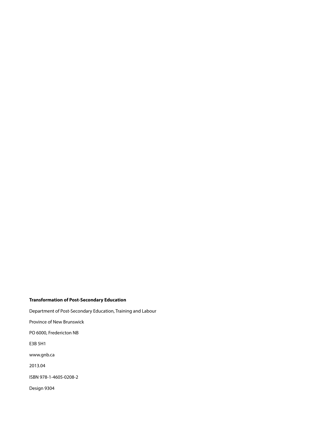#### **Transformation of Post-Secondary Education**

Department of Post-Secondary Education, Training and Labour Province of New Brunswick PO 6000, Fredericton NB E3B 5H1 [www.gnb.c](http://WWW.GNB.CA)a 2013.04 ISBN 978-1-4605-0208-2 Design 9304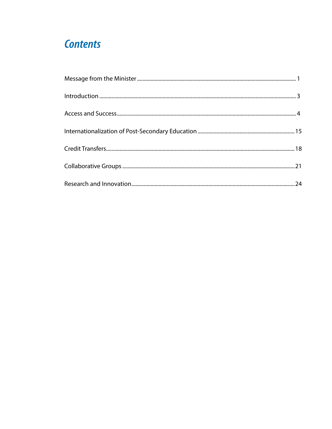## **Contents**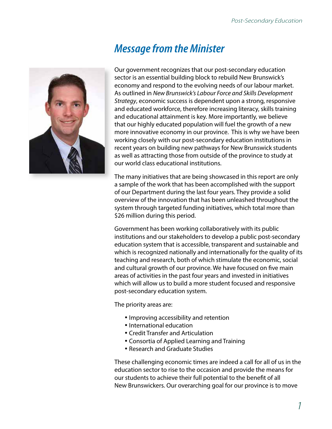## *Message from the Minister*



Our government recognizes that our post-secondary education sector is an essential building block to rebuild New Brunswick's economy and respond to the evolving needs of our labour market. As outlined in *New Brunswick's Labour Force and Skills Development Strategy*, economic success is dependent upon a strong, responsive and educated workforce, therefore increasing literacy, skills training and educational attainment is key. More importantly, we believe that our highly educated population will fuel the growth of a new more innovative economy in our province. This is why we have been working closely with our post-secondary education institutions in recent years on building new pathways for New Brunswick students as well as attracting those from outside of the province to study at our world class educational institutions.

The many initiatives that are being showcased in this report are only a sample of the work that has been accomplished with the support of our Department during the last four years. They provide a solid overview of the innovation that has been unleashed throughout the system through targeted funding initiatives, which total more than \$26 million during this period.

Government has been working collaboratively with its public institutions and our stakeholders to develop a public post-secondary education system that is accessible, transparent and sustainable and which is recognized nationally and internationally for the quality of its teaching and research, both of which stimulate the economic, social and cultural growth of our province. We have focused on five main areas of activities in the past four years and invested in initiatives which will allow us to build a more student focused and responsive post-secondary education system.

The priority areas are:

- Improving accessibility and retention
- International education
- Credit Transfer and Articulation
- Consortia of Applied Learning and Training
- Research and Graduate Studies

These challenging economic times are indeed a call for all of us in the education sector to rise to the occasion and provide the means for our students to achieve their full potential to the benefit of all New Brunswickers. Our overarching goal for our province is to move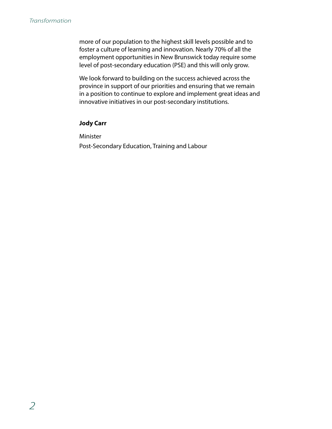more of our population to the highest skill levels possible and to foster a culture of learning and innovation. Nearly 70% of all the employment opportunities in New Brunswick today require some level of post-secondary education (PSE) and this will only grow.

We look forward to building on the success achieved across the province in support of our priorities and ensuring that we remain in a position to continue to explore and implement great ideas and innovative initiatives in our post-secondary institutions.

#### **Jody Carr**

Minister

Post-Secondary Education, Training and Labour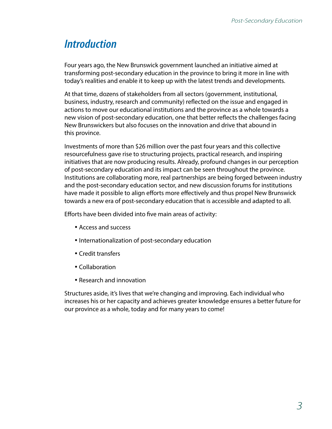## *Introduction*

Four years ago, the New Brunswick government launched an initiative aimed at transforming post-secondary education in the province to bring it more in line with today's realities and enable it to keep up with the latest trends and developments.

At that time, dozens of stakeholders from all sectors (government, institutional, business, industry, research and community) reflected on the issue and engaged in actions to move our educational institutions and the province as a whole towards a new vision of post-secondary education, one that better reflects the challenges facing New Brunswickers but also focuses on the innovation and drive that abound in this province.

Investments of more than \$26 million over the past four years and this collective resourcefulness gave rise to structuring projects, practical research, and inspiring initiatives that are now producing results. Already, profound changes in our perception of post-secondary education and its impact can be seen throughout the province. Institutions are collaborating more, real partnerships are being forged between industry and the post-secondary education sector, and new discussion forums for institutions have made it possible to align efforts more effectively and thus propel New Brunswick towards a new era of post-secondary education that is accessible and adapted to all.

Efforts have been divided into five main areas of activity:

- Access and success
- Internationalization of post-secondary education
- Credit transfers
- Collaboration
- Research and innovation

Structures aside, it's lives that we're changing and improving. Each individual who increases his or her capacity and achieves greater knowledge ensures a better future for our province as a whole, today and for many years to come!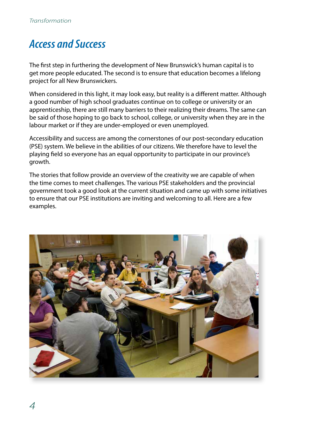# *Access and Success*

The first step in furthering the development of New Brunswick's human capital is to get more people educated. The second is to ensure that education becomes a lifelong project for all New Brunswickers.

When considered in this light, it may look easy, but reality is a different matter. Although a good number of high school graduates continue on to college or university or an apprenticeship, there are still many barriers to their realizing their dreams. The same can be said of those hoping to go back to school, college, or university when they are in the labour market or if they are under-employed or even unemployed.

Accessibility and success are among the cornerstones of our post-secondary education (PSE) system. We believe in the abilities of our citizens. We therefore have to level the playing field so everyone has an equal opportunity to participate in our province's growth.

The stories that follow provide an overview of the creativity we are capable of when the time comes to meet challenges. The various PSE stakeholders and the provincial government took a good look at the current situation and came up with some initiatives to ensure that our PSE institutions are inviting and welcoming to all. Here are a few examples.

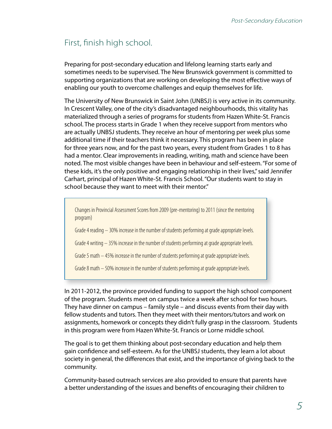### First, finish high school.

Preparing for post-secondary education and lifelong learning starts early and sometimes needs to be supervised. The New Brunswick government is committed to supporting organizations that are working on developing the most effective ways of enabling our youth to overcome challenges and equip themselves for life.

The University of New Brunswick in Saint John (UNBSJ) is very active in its community. In Crescent Valley, one of the city's disadvantaged neighbourhoods, this vitality has materialized through a series of programs for students from Hazen White-St. Francis school. The process starts in Grade 1 when they receive support from mentors who are actually UNBSJ students. They receive an hour of mentoring per week plus some additional time if their teachers think it necessary. This program has been in place for three years now, and for the past two years, every student from Grades 1 to 8 has had a mentor. Clear improvements in reading, writing, math and science have been noted. The most visible changes have been in behaviour and self-esteem. "For some of these kids, it's the only positive and engaging relationship in their lives," said Jennifer Carhart, principal of Hazen White-St. Francis School. "Our students want to stay in school because they want to meet with their mentor."

Changes in Provincial Assessment Scores from 2009 (pre-mentoring) to 2011 (since the mentoring program)

Grade 4 reading – 30% increase in the number of students performing at grade appropriate levels.

Grade 4 writing – 35% increase in the number of students performing at grade appropriate levels.

Grade 5 math - 45% increase in the number of students performing at grade appropriate levels.

Grade 8 math – 50% increase in the number of students performing at grade appropriate levels.

In 2011-2012, the province provided funding to support the high school component of the program. Students meet on campus twice a week after school for two hours. They have dinner on campus – family style – and discuss events from their day with fellow students and tutors. Then they meet with their mentors/tutors and work on assignments, homework or concepts they didn't fully grasp in the classroom. Students in this program were from Hazen White-St. Francis or Lorne middle school.

The goal is to get them thinking about post-secondary education and help them gain confidence and self-esteem. As for the UNBSJ students, they learn a lot about society in general, the differences that exist, and the importance of giving back to the community.

Community-based outreach services are also provided to ensure that parents have a better understanding of the issues and benefits of encouraging their children to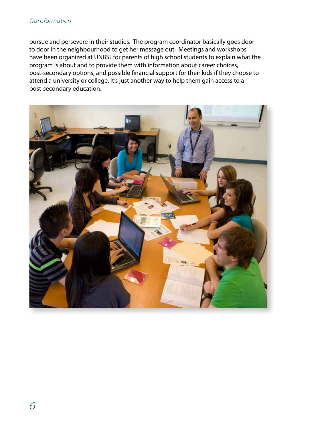pursue and persevere in their studies. The program coordinator basically goes door to door in the neighbourhood to get her message out. Meetings and workshops have been organized at UNBSJ for parents of high school students to explain what the program is about and to provide them with information about career choices, post-secondary options, and possible financial support for their kids if they choose to attend a university or college. It's just another way to help them gain access to a post-secondary education.

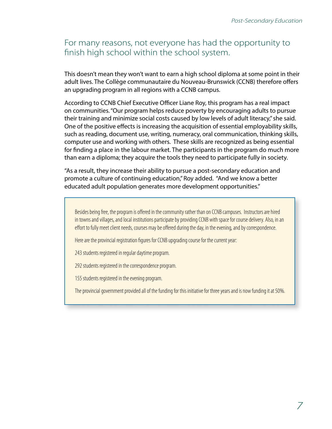#### For many reasons, not everyone has had the opportunity to finish high school within the school system.

This doesn't mean they won't want to earn a high school diploma at some point in their adult lives. The Collège communautaire du Nouveau-Brunswick (CCNB) therefore offers an upgrading program in all regions with a CCNB campus.

According to CCNB Chief Executive Officer Liane Roy, this program has a real impact on communities. "Our program helps reduce poverty by encouraging adults to pursue their training and minimize social costs caused by low levels of adult literacy," she said. One of the positive effects is increasing the acquisition of essential employability skills, such as reading, document use, writing, numeracy, oral communication, thinking skills, computer use and working with others. These skills are recognized as being essential for finding a place in the labour market. The participants in the program do much more than earn a diploma; they acquire the tools they need to participate fully in society.

"As a result, they increase their ability to pursue a post-secondary education and promote a culture of continuing education," Roy added. "And we know a better educated adult population generates more development opportunities."

Besides being free, the program is offered in the community rather than on CCNB campuses. Instructors are hired in towns and villages, and local institutions participate by providing CCNB with space for course delivery. Also, in an effort to fully meet client needs, courses may be offered during the day, in the evening, and by correspondence.

Here are the provincial registration figures for CCNB upgrading course for the current year:

243 students registered in regular daytime program.

292 students registered in the correspondence program.

155 students registered in the evening program.

The provincial government provided all of the funding for this initiative for three years and is now funding it at 50%.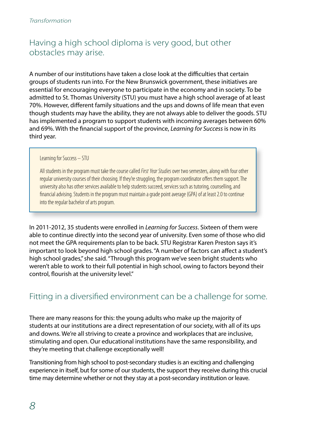## Having a high school diploma is very good, but other obstacles may arise.

A number of our institutions have taken a close look at the difficulties that certain groups of students run into. For the New Brunswick government, these initiatives are essential for encouraging everyone to participate in the economy and in society. To be admitted to St. Thomas University (STU) you must have a high school average of at least 70%. However, different family situations and the ups and downs of life mean that even though students may have the ability, they are not always able to deliver the goods. STU has implemented a program to support students with incoming averages between 60% and 69%. With the financial support of the province, *Learning for Success* is now in its third year.

Learning for Success – STU

All students in the program must take the course called *First Year Studies* over two semesters, along with four other regular university courses of their choosing. If they're struggling, the program coordinator offers them support. The university also has other services available to help students succeed, services such as tutoring, counselling, and financial advising. Students in the program must maintain a grade point average (GPA) of at least 2.0 to continue into the regular bachelor of arts program.

In 2011-2012, 35 students were enrolled in *Learning for Success*. Sixteen of them were able to continue directly into the second year of university. Even some of those who did not meet the GPA requirements plan to be back. STU Registrar Karen Preston says it's important to look beyond high school grades. "A number of factors can affect a student's high school grades," she said. "Through this program we've seen bright students who weren't able to work to their full potential in high school, owing to factors beyond their control, flourish at the university level."

#### Fitting in a diversified environment can be a challenge for some.

There are many reasons for this: the young adults who make up the majority of students at our institutions are a direct representation of our society, with all of its ups and downs. We're all striving to create a province and workplaces that are inclusive, stimulating and open. Our educational institutions have the same responsibility, and they're meeting that challenge exceptionally well!

Transitioning from high school to post-secondary studies is an exciting and challenging experience in itself, but for some of our students, the support they receive during this crucial time may determine whether or not they stay at a post-secondary institution or leave.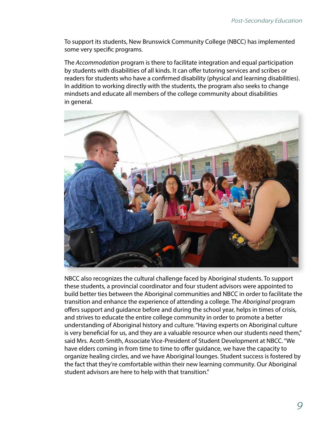To support its students, New Brunswick Community College (NBCC) has implemented some very specific programs.

The *Accommodation* program is there to facilitate integration and equal participation by students with disabilities of all kinds. It can offer tutoring services and scribes or readers for students who have a confirmed disability (physical and learning disabilities). In addition to working directly with the students, the program also seeks to change mindsets and educate all members of the college community about disabilities in general.



NBCC also recognizes the cultural challenge faced by Aboriginal students. To support these students, a provincial coordinator and four student advisors were appointed to build better ties between the Aboriginal communities and NBCC in order to facilitate the transition and enhance the experience of attending a college. The *Aboriginal* program offers support and guidance before and during the school year, helps in times of crisis, and strives to educate the entire college community in order to promote a better understanding of Aboriginal history and culture. "Having experts on Aboriginal culture is very beneficial for us, and they are a valuable resource when our students need them," said Mrs. Acott-Smith, Associate Vice-President of Student Development at NBCC. "We have elders coming in from time to time to offer guidance, we have the capacity to organize healing circles, and we have Aboriginal lounges. Student success is fostered by the fact that they're comfortable within their new learning community. Our Aboriginal student advisors are here to help with that transition."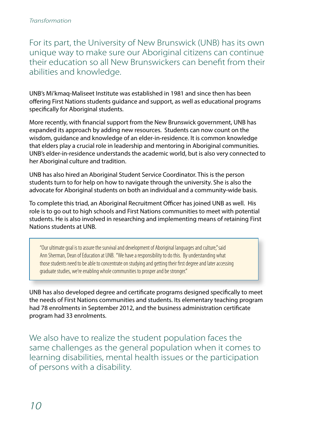For its part, the University of New Brunswick (UNB) has its own unique way to make sure our Aboriginal citizens can continue their education so all New Brunswickers can benefit from their abilities and knowledge.

UNB's Mi'kmaq-Maliseet Institute was established in 1981 and since then has been offering First Nations students guidance and support, as well as educational programs specifically for Aboriginal students.

More recently, with financial support from the New Brunswick government, UNB has expanded its approach by adding new resources. Students can now count on the wisdom, guidance and knowledge of an elder-in-residence. It is common knowledge that elders play a crucial role in leadership and mentoring in Aboriginal communities. UNB's elder-in-residence understands the academic world, but is also very connected to her Aboriginal culture and tradition.

UNB has also hired an Aboriginal Student Service Coordinator. This is the person students turn to for help on how to navigate through the university. She is also the advocate for Aboriginal students on both an individual and a community-wide basis.

To complete this triad, an Aboriginal Recruitment Officer has joined UNB as well. His role is to go out to high schools and First Nations communities to meet with potential students. He is also involved in researching and implementing means of retaining First Nations students at UNB.

"Our ultimate goal is to assure the survival and development of Aboriginal languages and culture," said Ann Sherman, Dean of Education at UNB. "We have a responsibility to do this. By understanding what those students need to be able to concentrate on studying and getting their first degree and later accessing graduate studies, we're enabling whole communities to prosper and be stronger."

UNB has also developed degree and certificate programs designed specifically to meet the needs of First Nations communities and students. Its elementary teaching program had 78 enrolments in September 2012, and the business administration certificate program had 33 enrolments.

We also have to realize the student population faces the same challenges as the general population when it comes to learning disabilities, mental health issues or the participation of persons with a disability.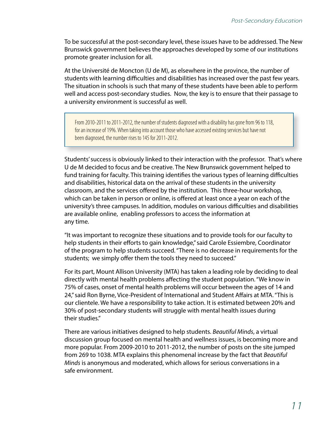To be successful at the post-secondary level, these issues have to be addressed. The New Brunswick government believes the approaches developed by some of our institutions promote greater inclusion for all.

At the Université de Moncton (U de M), as elsewhere in the province, the number of students with learning difficulties and disabilities has increased over the past few years. The situation in schools is such that many of these students have been able to perform well and access post-secondary studies. Now, the key is to ensure that their passage to a university environment is successful as well.

From 2010-2011 to 2011-2012, the number of students diagnosed with a disability has gone from 96 to 118, for an increase of 19%. When taking into account those who have accessed existing services but have not been diagnosed, the number rises to 145 for 2011-2012.

Students' success is obviously linked to their interaction with the professor. That's where U de M decided to focus and be creative. The New Brunswick government helped to fund training for faculty. This training identifies the various types of learning difficulties and disabilities, historical data on the arrival of these students in the university classroom, and the services offered by the institution. This three-hour workshop, which can be taken in person or online, is offered at least once a year on each of the university's three campuses. In addition, modules on various difficulties and disabilities are available online, enabling professors to access the information at any time.

"It was important to recognize these situations and to provide tools for our faculty to help students in their efforts to gain knowledge," said Carole Essiembre, Coordinator of the program to help students succeed. "There is no decrease in requirements for the students; we simply offer them the tools they need to succeed."

For its part, Mount Allison University (MTA) has taken a leading role by deciding to deal directly with mental health problems affecting the student population. "We know in 75% of cases, onset of mental health problems will occur between the ages of 14 and 24," said Ron Byrne, Vice-President of International and Student Affairs at MTA. "This is our clientele. We have a responsibility to take action. It is estimated between 20% and 30% of post-secondary students will struggle with mental health issues during their studies."

There are various initiatives designed to help students. *Beautiful Minds*, a virtual discussion group focused on mental health and wellness issues, is becoming more and more popular. From 2009-2010 to 2011-2012, the number of posts on the site jumped from 269 to 1038. MTA explains this phenomenal increase by the fact that *Beautiful Minds* is anonymous and moderated, which allows for serious conversations in a safe environment.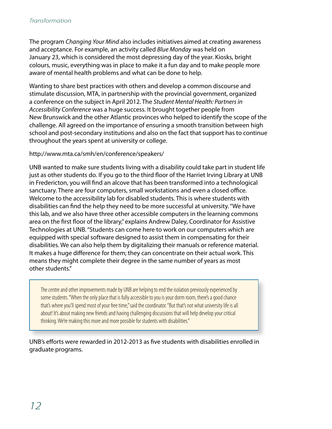The program *Changing Your Mind* also includes initiatives aimed at creating awareness and acceptance. For example, an activity called *Blue Monday* was held on January 23, which is considered the most depressing day of the year. Kiosks, bright colours, music, everything was in place to make it a fun day and to make people more aware of mental health problems and what can be done to help.

Wanting to share best practices with others and develop a common discourse and stimulate discussion, MTA, in partnership with the provincial government, organized a conference on the subject in April 2012. The *Student Mental Health: Partners in Accessibility Conference* was a huge success. It brought together people from New Brunswick and the other Atlantic provinces who helped to identify the scope of the challenge. All agreed on the importance of ensuring a smooth transition between high school and post-secondary institutions and also on the fact that support has to continue throughout the years spent at university or college.

#### http://www.mta.ca/smh/en/conference/speakers/

UNB wanted to make sure students living with a disability could take part in student life just as other students do. If you go to the third floor of the Harriet Irving Library at UNB in Fredericton, you will find an alcove that has been transformed into a technological sanctuary. There are four computers, small workstations and even a closed office. Welcome to the accessibility lab for disabled students. This is where students with disabilities can find the help they need to be more successful at university. "We have this lab, and we also have three other accessible computers in the learning commons area on the first floor of the library," explains Andrew Daley, Coordinator for Assistive Technologies at UNB. "Students can come here to work on our computers which are equipped with special software designed to assist them in compensating for their disabilities. We can also help them by digitalizing their manuals or reference material. It makes a huge difference for them; they can concentrate on their actual work. This means they might complete their degree in the same number of years as most other students."

The centre and other improvements made by UNB are helping to end the isolation previously experienced by some students. "When the only place that is fully accessible to you is your dorm room, there's a good chance that's where you'll spend most of your free time," said the coordinator. "But that's not what university life is all about! It's about making new friends and having challenging discussions that will help develop your critical thinking. We're making this more and more possible for students with disabilities."

UNB's efforts were rewarded in 2012-2013 as five students with disabilities enrolled in graduate programs.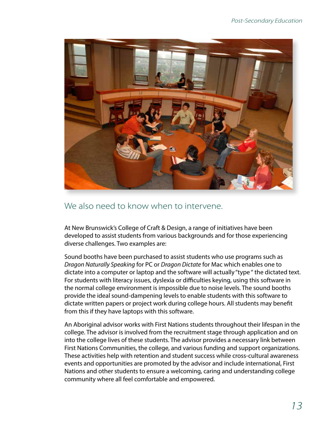

#### We also need to know when to intervene.

At New Brunswick's College of Craft & Design, a range of initiatives have been developed to assist students from various backgrounds and for those experiencing diverse challenges. Two examples are:

Sound booths have been purchased to assist students who use programs such as *Dragon Naturally Speaking* for PC or *Dragon Dictate* for Mac which enables one to dictate into a computer or laptop and the software will actually "type " the dictated text. For students with literacy issues, dyslexia or difficulties keying, using this software in the normal college environment is impossible due to noise levels. The sound booths provide the ideal sound-dampening levels to enable students with this software to dictate written papers or project work during college hours. All students may benefit from this if they have laptops with this software.

An Aboriginal advisor works with First Nations students throughout their lifespan in the college. The advisor is involved from the recruitment stage through application and on into the college lives of these students. The advisor provides a necessary link between First Nations Communities, the college, and various funding and support organizations. These activities help with retention and student success while cross-cultural awareness events and opportunities are promoted by the advisor and include international, First Nations and other students to ensure a welcoming, caring and understanding college community where all feel comfortable and empowered.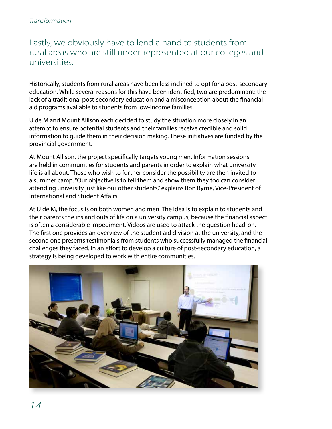#### Lastly, we obviously have to lend a hand to students from rural areas who are still under-represented at our colleges and universities.

Historically, students from rural areas have been less inclined to opt for a post-secondary education. While several reasons for this have been identified, two are predominant: the lack of a traditional post-secondary education and a misconception about the financial aid programs available to students from low-income families.

U de M and Mount Allison each decided to study the situation more closely in an attempt to ensure potential students and their families receive credible and solid information to guide them in their decision making. These initiatives are funded by the provincial government.

At Mount Allison, the project specifically targets young men. Information sessions are held in communities for students and parents in order to explain what university life is all about. Those who wish to further consider the possibility are then invited to a summer camp. "Our objective is to tell them and show them they too can consider attending university just like our other students," explains Ron Byrne, Vice-President of International and Student Affairs.

At U de M, the focus is on both women and men. The idea is to explain to students and their parents the ins and outs of life on a university campus, because the financial aspect is often a considerable impediment. Videos are used to attack the question head-on. The first one provides an overview of the student aid division at the university, and the second one presents testimonials from students who successfully managed the financial challenges they faced. In an effort to develop a culture of post-secondary education, a strategy is being developed to work with entire communities.

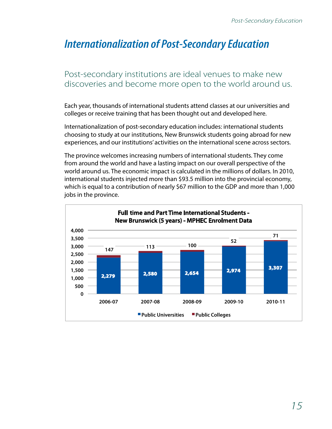## *Internationalization of Post-Secondary Education*

#### Post-secondary institutions are ideal venues to make new discoveries and become more open to the world around us.

Each year, thousands of international students attend classes at our universities and colleges or receive training that has been thought out and developed here.

Internationalization of post-secondary education includes: international students choosing to study at our institutions, New Brunswick students going abroad for new experiences, and our institutions' activities on the international scene across sectors.

The province welcomes increasing numbers of international students. They come from around the world and have a lasting impact on our overall perspective of the world around us. The economic impact is calculated in the millions of dollars. In 2010, international students injected more than \$93.5 million into the provincial economy, which is equal to a contribution of nearly \$67 million to the GDP and more than 1,000 jobs in the province.

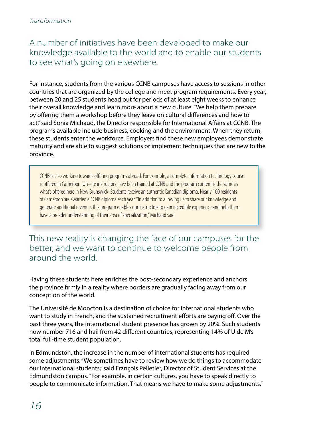A number of initiatives have been developed to make our knowledge available to the world and to enable our students to see what's going on elsewhere.

For instance, students from the various CCNB campuses have access to sessions in other countries that are organized by the college and meet program requirements. Every year, between 20 and 25 students head out for periods of at least eight weeks to enhance their overall knowledge and learn more about a new culture. "We help them prepare by offering them a workshop before they leave on cultural differences and how to act," said Sonia Michaud, the Director responsible for International Affairs at CCNB. The programs available include business, cooking and the environment. When they return, these students enter the workforce. Employers find these new employees demonstrate maturity and are able to suggest solutions or implement techniques that are new to the province.

CCNB is also working towards offering programs abroad. For example, a complete information technology course is offered in Cameroon. On-site instructors have been trained at CCNB and the program content is the same as what's offered here in New Brunswick. Students receive an authentic Canadian diploma. Nearly 100 residents of Cameroon are awarded a CCNB diploma each year. "In addition to allowing us to share our knowledge and generate additional revenue, this program enables our instructors to gain incredible experience and help them have a broader understanding of their area of specialization," Michaud said.

This new reality is changing the face of our campuses for the better, and we want to continue to welcome people from around the world.

Having these students here enriches the post-secondary experience and anchors the province firmly in a reality where borders are gradually fading away from our conception of the world.

The Université de Moncton is a destination of choice for international students who want to study in French, and the sustained recruitment efforts are paying off. Over the past three years, the international student presence has grown by 20%. Such students now number 716 and hail from 42 different countries, representing 14% of U de M's total full-time student population.

In Edmundston, the increase in the number of international students has required some adjustments. "We sometimes have to review how we do things to accommodate our international students," said François Pelletier, Director of Student Services at the Edmundston campus. "For example, in certain cultures, you have to speak directly to people to communicate information. That means we have to make some adjustments."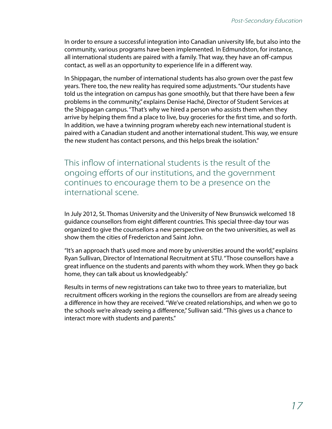In order to ensure a successful integration into Canadian university life, but also into the community, various programs have been implemented. In Edmundston, for instance, all international students are paired with a family. That way, they have an off-campus contact, as well as an opportunity to experience life in a different way.

In Shippagan, the number of international students has also grown over the past few years. There too, the new reality has required some adjustments. "Our students have told us the integration on campus has gone smoothly, but that there have been a few problems in the community," explains Denise Haché, Director of Student Services at the Shippagan campus. "That's why we hired a person who assists them when they arrive by helping them find a place to live, buy groceries for the first time, and so forth. In addition, we have a twinning program whereby each new international student is paired with a Canadian student and another international student. This way, we ensure the new student has contact persons, and this helps break the isolation."

This inflow of international students is the result of the ongoing efforts of our institutions, and the government continues to encourage them to be a presence on the international scene.

In July 2012, St. Thomas University and the University of New Brunswick welcomed 18 guidance counsellors from eight different countries. This special three-day tour was organized to give the counsellors a new perspective on the two universities, as well as show them the cities of Fredericton and Saint John.

"It's an approach that's used more and more by universities around the world," explains Ryan Sullivan, Director of International Recruitment at STU. "Those counsellors have a great influence on the students and parents with whom they work. When they go back home, they can talk about us knowledgeably."

Results in terms of new registrations can take two to three years to materialize, but recruitment officers working in the regions the counsellors are from are already seeing a difference in how they are received. "We've created relationships, and when we go to the schools we're already seeing a difference," Sullivan said. "This gives us a chance to interact more with students and parents."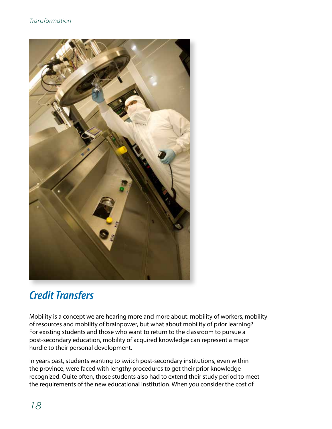

# *Credit Transfers*

Mobility is a concept we are hearing more and more about: mobility of workers, mobility of resources and mobility of brainpower, but what about mobility of prior learning? For existing students and those who want to return to the classroom to pursue a post-secondary education, mobility of acquired knowledge can represent a major hurdle to their personal development.

In years past, students wanting to switch post-secondary institutions, even within the province, were faced with lengthy procedures to get their prior knowledge recognized. Quite often, those students also had to extend their study period to meet the requirements of the new educational institution. When you consider the cost of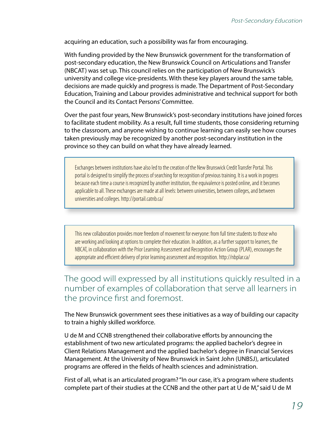acquiring an education, such a possibility was far from encouraging.

With funding provided by the New Brunswick government for the transformation of post-secondary education, the New Brunswick Council on Articulations and Transfer (NBCAT) was set up. This council relies on the participation of New Brunswick's university and college vice-presidents. With these key players around the same table, decisions are made quickly and progress is made. The Department of Post-Secondary Education, Training and Labour provides administrative and technical support for both the Council and its Contact Persons' Committee.

Over the past four years, New Brunswick's post-secondary institutions have joined forces to facilitate student mobility. As a result, full time students, those considering returning to the classroom, and anyone wishing to continue learning can easily see how courses taken previously may be recognized by another post-secondary institution in the province so they can build on what they have already learned.

Exchanges between institutions have also led to the creation of the New Brunswick Credit Transfer Portal. This portal is designed to simplify the process of searching for recognition of previous training. It is a work in progress because each time a course is recognized by another institution, the equivalence is posted online, and it becomes applicable to all. These exchanges are made at all levels: between universities, between colleges, and between universities and colleges. [http://portail.catnb.ca/](http://portal.nbcat.ca/Home.aspx)

This new collaboration provides more freedom of movement for everyone: from full time students to those who are working and looking at options to complete their education. In addition, as a further support to learners, the NBCAT, in collaboration with the Prior Learning Assessment and Recognition Action Group (PLAR), encourages the appropriate and efficient delivery of prior learning assessment and recognition. [http://nbplar.ca/](http://nbplar.ca)

The good will expressed by all institutions quickly resulted in a number of examples of collaboration that serve all learners in the province first and foremost.

The New Brunswick government sees these initiatives as a way of building our capacity to train a highly skilled workforce.

U de M and CCNB strengthened their collaborative efforts by announcing the establishment of two new articulated programs: the applied bachelor's degree in Client Relations Management and the applied bachelor's degree in Financial Services Management. At the University of New Brunswick in Saint John (UNBSJ), articulated programs are offered in the fields of health sciences and administration.

First of all, what is an articulated program? "In our case, it's a program where students complete part of their studies at the CCNB and the other part at U de M," said U de M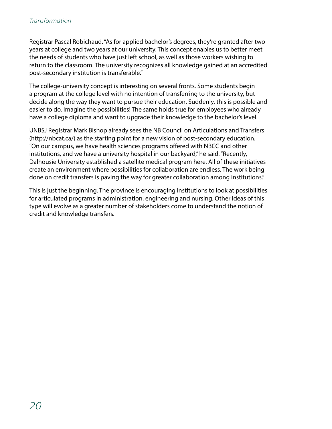Registrar Pascal Robichaud. "As for applied bachelor's degrees, they're granted after two years at college and two years at our university. This concept enables us to better meet the needs of students who have just left school, as well as those workers wishing to return to the classroom. The university recognizes all knowledge gained at an accredited post-secondary institution is transferable."

The college-university concept is interesting on several fronts. Some students begin a program at the college level with no intention of transferring to the university, but decide along the way they want to pursue their education. Suddenly, this is possible and easier to do. Imagine the possibilities! The same holds true for employees who already have a college diploma and want to upgrade their knowledge to the bachelor's level.

UNBSJ Registrar Mark Bishop already sees the NB Council on Articulations and Transfers [\(http://nbcat.ca/\)](http://nbcat.ca/) as the starting point for a new vision of post-secondary education. "On our campus, we have health sciences programs offered with NBCC and other institutions, and we have a university hospital in our backyard," he said. "Recently, Dalhousie University established a satellite medical program here. All of these initiatives create an environment where possibilities for collaboration are endless. The work being done on credit transfers is paving the way for greater collaboration among institutions."

This is just the beginning. The province is encouraging institutions to look at possibilities for articulated programs in administration, engineering and nursing. Other ideas of this type will evolve as a greater number of stakeholders come to understand the notion of credit and knowledge transfers.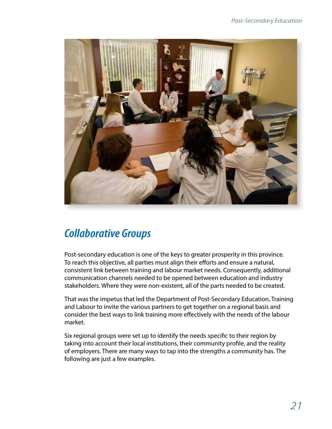

## *Collaborative Groups*

Post-secondary education is one of the keys to greater prosperity in this province. To reach this objective, all parties must align their efforts and ensure a natural, consistent link between training and labour market needs. Consequently, additional communication channels needed to be opened between education and industry stakeholders. Where they were non-existent, all of the parts needed to be created.

That was the impetus that led the Department of Post-Secondary Education, Training and Labour to invite the various partners to get together on a regional basis and consider the best ways to link training more effectively with the needs of the labour market.

Six regional groups were set up to identify the needs specific to their region by taking into account their local institutions, their community profile, and the reality of employers. There are many ways to tap into the strengths a community has. The following are just a few examples.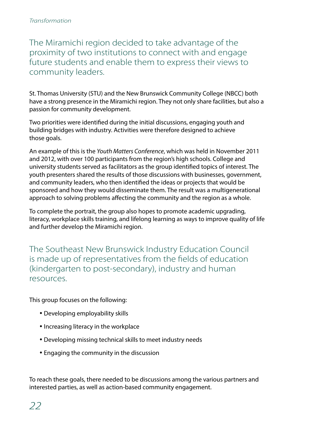The Miramichi region decided to take advantage of the proximity of two institutions to connect with and engage future students and enable them to express their views to community leaders.

St. Thomas University (STU) and the New Brunswick Community College (NBCC) both have a strong presence in the Miramichi region. They not only share facilities, but also a passion for community development.

Two priorities were identified during the initial discussions, engaging youth and building bridges with industry. Activities were therefore designed to achieve those goals.

An example of this is the *Youth Matters Conference*, which was held in November 2011 and 2012, with over 100 participants from the region's high schools. College and university students served as facilitators as the group identified topics of interest. The youth presenters shared the results of those discussions with businesses, government, and community leaders, who then identified the ideas or projects that would be sponsored and how they would disseminate them. The result was a multigenerational approach to solving problems affecting the community and the region as a whole.

To complete the portrait, the group also hopes to promote academic upgrading, literacy, workplace skills training, and lifelong learning as ways to improve quality of life and further develop the Miramichi region.

The Southeast New Brunswick Industry Education Council is made up of representatives from the fields of education (kindergarten to post-secondary), industry and human resources.

This group focuses on the following:

- Developing employability skills
- Increasing literacy in the workplace
- Developing missing technical skills to meet industry needs
- Engaging the community in the discussion

To reach these goals, there needed to be discussions among the various partners and interested parties, as well as action-based community engagement.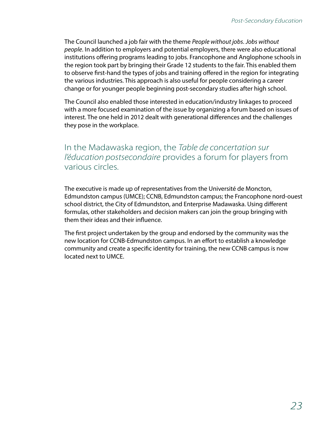The Council launched a job fair with the theme *People without jobs*. *Jobs without people*. In addition to employers and potential employers, there were also educational institutions offering programs leading to jobs. Francophone and Anglophone schools in the region took part by bringing their Grade 12 students to the fair. This enabled them to observe first-hand the types of jobs and training offered in the region for integrating the various industries. This approach is also useful for people considering a career change or for younger people beginning post-secondary studies after high school.

The Council also enabled those interested in education/industry linkages to proceed with a more focused examination of the issue by organizing a forum based on issues of interest. The one held in 2012 dealt with generational differences and the challenges they pose in the workplace.

#### In the Madawaska region, the *Table de concertation sur l'éducation postsecondaire* provides a forum for players from various circles.

The executive is made up of representatives from the Université de Moncton, Edmundston campus (UMCE); CCNB, Edmundston campus; the Francophone nord-ouest school district, the City of Edmundston, and Enterprise Madawaska. Using different formulas, other stakeholders and decision makers can join the group bringing with them their ideas and their influence.

The first project undertaken by the group and endorsed by the community was the new location for CCNB-Edmundston campus. In an effort to establish a knowledge community and create a specific identity for training, the new CCNB campus is now located next to UMCE.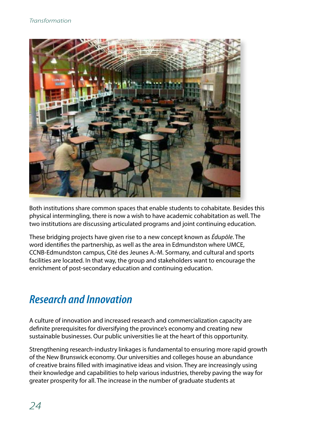

Both institutions share common spaces that enable students to cohabitate. Besides this physical intermingling, there is now a wish to have academic cohabitation as well. The two institutions are discussing articulated programs and joint continuing education.

These bridging projects have given rise to a new concept known as *Édupôle*. The word identifies the partnership, as well as the area in Edmundston where UMCE, CCNB-Edmundston campus, Cité des Jeunes A.-M. Sormany, and cultural and sports facilities are located. In that way, the group and stakeholders want to encourage the enrichment of post-secondary education and continuing education.

## *Research and Innovation*

A culture of innovation and increased research and commercialization capacity are definite prerequisites for diversifying the province's economy and creating new sustainable businesses. Our public universities lie at the heart of this opportunity.

Strengthening research-industry linkages is fundamental to ensuring more rapid growth of the New Brunswick economy. Our universities and colleges house an abundance of creative brains filled with imaginative ideas and vision. They are increasingly using their knowledge and capabilities to help various industries, thereby paving the way for greater prosperity for all. The increase in the number of graduate students at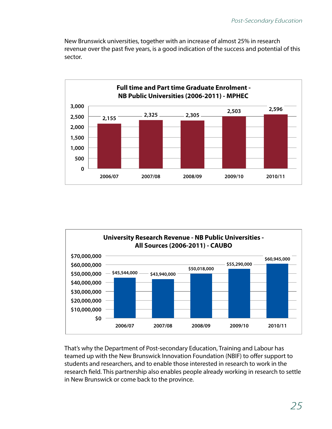New Brunswick universities, together with an increase of almost 25% in research revenue over the past five years, is a good indication of the success and potential of this sector.





That's why the Department of Post-secondary Education, Training and Labour has teamed up with the New Brunswick Innovation Foundation (NBIF) to offer support to students and researchers, and to enable those interested in research to work in the research field. This partnership also enables people already working in research to settle in New Brunswick or come back to the province.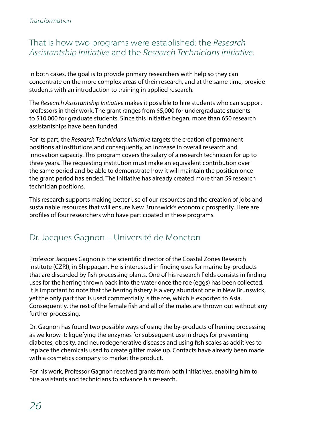#### That is how two programs were established: the *Research Assistantship Initiative* and the *Research Technicians Initiative*.

In both cases, the goal is to provide primary researchers with help so they can concentrate on the more complex areas of their research, and at the same time, provide students with an introduction to training in applied research.

The *Research Assistantship Initiative* makes it possible to hire students who can support professors in their work. The grant ranges from \$5,000 for undergraduate students to \$10,000 for graduate students. Since this initiative began, more than 650 research assistantships have been funded.

For its part, the *Research Technicians Initiative* targets the creation of permanent positions at institutions and consequently, an increase in overall research and innovation capacity. This program covers the salary of a research technician for up to three years. The requesting institution must make an equivalent contribution over the same period and be able to demonstrate how it will maintain the position once the grant period has ended. The initiative has already created more than 59 research technician positions.

This research supports making better use of our resources and the creation of jobs and sustainable resources that will ensure New Brunswick's economic prosperity. Here are profiles of four researchers who have participated in these programs.

## Dr. Jacques Gagnon – Université de Moncton

Professor Jacques Gagnon is the scientific director of the Coastal Zones Research Institute (CZRI), in Shippagan. He is interested in finding uses for marine by-products that are discarded by fish processing plants. One of his research fields consists in finding uses for the herring thrown back into the water once the roe (eggs) has been collected. It is important to note that the herring fishery is a very abundant one in New Brunswick, yet the only part that is used commercially is the roe, which is exported to Asia. Consequently, the rest of the female fish and all of the males are thrown out without any further processing.

Dr. Gagnon has found two possible ways of using the by-products of herring processing as we know it: liquefying the enzymes for subsequent use in drugs for preventing diabetes, obesity, and neurodegenerative diseases and using fish scales as additives to replace the chemicals used to create glitter make up. Contacts have already been made with a cosmetics company to market the product.

For his work, Professor Gagnon received grants from both initiatives, enabling him to hire assistants and technicians to advance his research.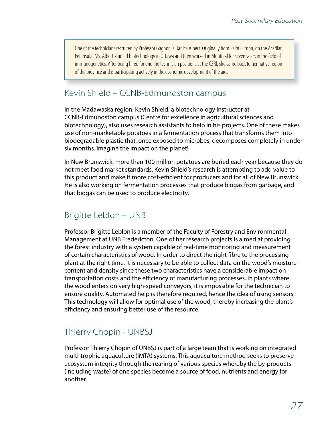One of the technicians recruited by Professor Gagnon is Danica Albert. Originally from Saint-Simon, on the Acadian Peninsula, Ms. Albert studied biotechnology in Ottawa and then worked in Montreal for seven years in the field of immunogenetics. After being hired for one the technician positions at the CZRI, she came back to her native region of the province and is participating actively in the economic development of the area.

#### Kevin Shield – CCNB-Edmundston campus

In the Madawaska region, Kevin Shield, a biotechnology instructor at CCNB-Edmundston campus (Centre for excellence in agricultural sciences and biotechnology), also uses research assistants to help in his projects. One of these makes use of non-marketable potatoes in a fermentation process that transforms them into biodegradable plastic that, once exposed to microbes, decomposes completely in under six months. Imagine the impact on the planet!

In New Brunswick, more than 100 million potatoes are buried each year because they do not meet food market standards. Kevin Shield's research is attempting to add value to this product and make it more cost-efficient for producers and for all of New Brunswick. He is also working on fermentation processes that produce biogas from garbage, and that biogas can be used to produce electricity.

#### Brigitte Leblon – UNB

Professor Brigitte Leblon is a member of the Faculty of Forestry and Environmental Management at UNB Fredericton. One of her research projects is aimed at providing the forest industry with a system capable of real-time monitoring and measurement of certain characteristics of wood. In order to direct the right fibre to the processing plant at the right time, it is necessary to be able to collect data on the wood's moisture content and density since these two characteristics have a considerable impact on transportation costs and the efficiency of manufacturing processes. In plants where the wood enters on very high-speed conveyors, it is impossible for the technician to ensure quality. Automated help is therefore required, hence the idea of using sensors. This technology will allow for optimal use of the wood, thereby increasing the plant's efficiency and ensuring better use of the resource.

#### Thierry Chopin - UNBSJ

Professor Thierry Chopin of UNBSJ is part of a large team that is working on integrated multi-trophic aquaculture (IMTA) systems. This aquaculture method seeks to preserve ecosystem integrity through the rearing of various species whereby the by-products (including waste) of one species become a source of food, nutrients and energy for another.